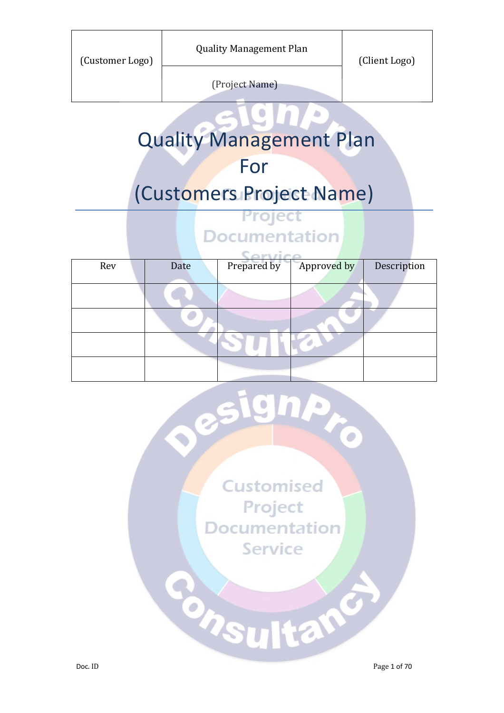| (Customer Logo) | <b>Quality Management Plan</b> | (Client Logo) |
|-----------------|--------------------------------|---------------|
|                 | (Project Name)                 |               |

# Quality Management Plan

## For

# (Customers Project Name)

### Project **Documentation**

| Rev | Date | Prepared by | Approved by | Description |  |
|-----|------|-------------|-------------|-------------|--|
|     |      |             |             |             |  |
|     |      |             |             |             |  |
|     |      |             |             |             |  |
|     |      |             |             |             |  |
|     |      |             |             |             |  |

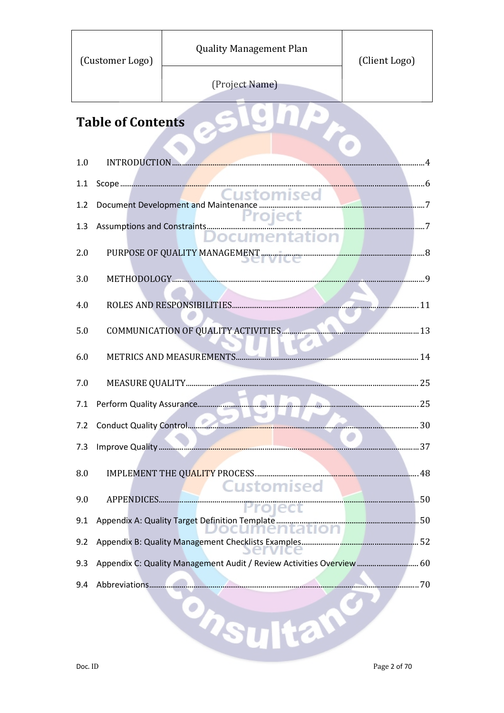| (Customer Logo)          | <b>Quality Management Plan</b>                                        | (Client Logo) |  |  |  |
|--------------------------|-----------------------------------------------------------------------|---------------|--|--|--|
|                          | (Project Name)                                                        |               |  |  |  |
| <b>Table of Contents</b> |                                                                       |               |  |  |  |
|                          |                                                                       |               |  |  |  |
| INTRODUCTION<br>1.0      |                                                                       |               |  |  |  |
| 1.1                      |                                                                       |               |  |  |  |
| 1.2                      |                                                                       |               |  |  |  |
| 1.3                      |                                                                       |               |  |  |  |
|                          |                                                                       |               |  |  |  |
| 2.0                      |                                                                       |               |  |  |  |
| 3.0                      |                                                                       |               |  |  |  |
|                          |                                                                       |               |  |  |  |
| 4.0                      |                                                                       | 11            |  |  |  |
| 5.0                      |                                                                       |               |  |  |  |
|                          |                                                                       |               |  |  |  |
| 6.0                      | METRICS AND MEASUREMENTS                                              |               |  |  |  |
| 7.0                      |                                                                       |               |  |  |  |
| 7.1                      |                                                                       |               |  |  |  |
| 7.2                      |                                                                       |               |  |  |  |
|                          |                                                                       |               |  |  |  |
| 7.3                      |                                                                       |               |  |  |  |
| 8.0                      |                                                                       |               |  |  |  |
|                          | <b>Customised</b>                                                     |               |  |  |  |
| 9.0                      |                                                                       |               |  |  |  |
| 9.1                      |                                                                       |               |  |  |  |
| 9.2                      |                                                                       |               |  |  |  |
| 9.3                      | Appendix C: Quality Management Audit / Review Activities Overview  60 |               |  |  |  |
|                          |                                                                       |               |  |  |  |
| 9.4                      |                                                                       |               |  |  |  |
|                          |                                                                       |               |  |  |  |
|                          | houltan                                                               |               |  |  |  |
|                          |                                                                       |               |  |  |  |